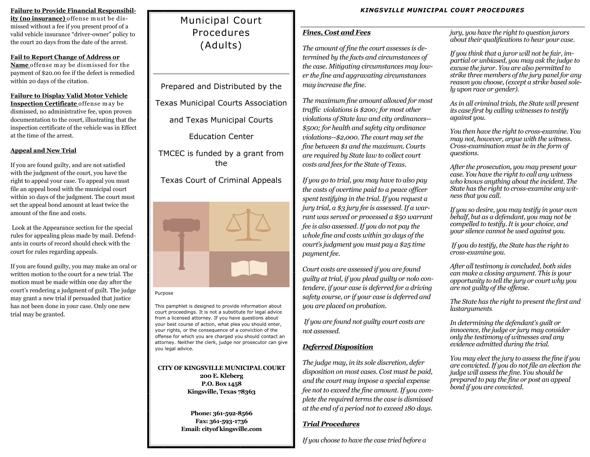### **Failure to Provide Financial Responsibil-**

ity (no insurance) offense must be dismissed without a fee if you present proof of a valid vehicle insurance "driver-owner" policy to the court 20 days from the date of the arrest.

### **Fail to Report Change of Address or**  Name offense may be dismissed for the payment of \$20.00 fee if the defect is remedied within 20 days of the citation.

### **Failure to Display Valid Motor Vehicle**

**Inspection Certificate** offense may be dismissed, no administrative fee, upon proven documentation to the court, illustrating that the inspection certificate of the vehicle was in Effect at the time of the arrest.

## **Appeal and New Trial**

If you are found guilty, and are not satisfied with the judgment of the court, you have the right to appeal your case. To appeal you must file an appeal bond with the municipal court within 10 days of the judgment. The court must set the appeal bond amount at least twice the amount of the fine and costs.

Look at the Appearance section for the special rules for appealing pleas made by mail. Defendants in courts of record should check with the court for rules regarding appeals.

If you are found guilty, you may make an oral or written motion to the court for a new trial. The motion must be made within one day after the court's rendering a judgment of guilt. The judge may grant a new trial if persuaded that justice has not been done in your case. Only one new trial may be granted.

# Municipal Court Procedures (Adults)

Prepared and Distributed by the Texas Municipal Courts Association and Texas Municipal Courts Education Center TMCEC is funded by a grant from the Texas Court of Criminal Appeals



### Purpose

This pamphlet is designed to provide information about court proceedings. It is not a substitute for legal advice from a licensed attorney. If you have questions about your best course of action, what plea you should enter, your rights, or the consequence of a conviction of the offense for which you are charged you should contact an attorney. Neither the clerk, judge nor prosecutor can give you legal advice.

**CITY OF KINGSVILLE MUNICIPAL COURT 200 E. Kleberg P.O. Box 1458 Kingsville, Texas 78363**

> **Phone: 361-592-8566 Fax: 361-593-1736 Email: cityof kingsville.com**

## *Fines, Cost and Fees*

*The amount of fine the court assesses is determined by the facts and circumstances of the case. Mitigating circumstances may lower the fine and aggravating circumstances may increase the fine.* 

*The maximum fine amount allowed for most traffic violations is \$200; for most other violations of State law and city ordinances-- \$500; for health and safety city ordinance violations--\$2,000. The court may set the fine between \$1 and the maximum. Courts are required by State law to collect court costs and fees for the State of Texas.*

*If you go to trial, you may have to also pay the costs of overtime paid to a peace officer spent testifying in the trial. If you request a jury trial, a \$3 jury fee is assessed. If a warrant was served or processed a \$50 warrant fee is also assessed. If you do not pay the whole fine and costs within 30 days of the court's judgment you must pay a \$25 time payment fee.*

*Court costs are assessed if you are found guilty at trial, if you plead guilty or nolo contendere, if your case is deferred for a driving safety course, or if your case is deferred and you are placed on probation.*

*If you are found not guilty court costs are not assessed.*

## *Deferred Disposition*

*The judge may, in its sole discretion, defer disposition on most cases. Cost must be paid, and the court may impose a special expense fee not to exceed the fine amount. If you complete the required terms the case is dismissed at the end of a period not to exceed 180 days.*

## *Trial Procedures*

*If you choose to have the case tried before a* 

*jury, you have the right to question jurors about their qualifications to hear your case.*

*If you think that a juror will not be fair, impartial or unbiased, you may ask the judge to excuse the juror. You are also permitted to strike three members of the jury panel for any reason you choose, (except a strike based solely upon race or gender).*

*As in all criminal trials, the State will present its case first by calling witnesses to testify against you.*

*You then have the right to cross-examine. You may not, however, argue with the witness. Cross-examination must be in the form of questions.*

*After the prosecution, you may present your case. You have the right to call any witness who knows anything about the incident. The State has the right to cross-examine any witness that you call.*

*If you so desire, you may testify in your own behalf, but as a defendant, you may not be compelled to testify. It is your choice, and your silence cannot be used against you.*

*If you do testify, the State has the right to cross-examine you.*

*After all testimony is concluded, both sides can make a closing argument. This is your opportunity to tell the jury or court why you are not guilty of the offense.* 

*The State has the right to present the first and lastarguments.*

*In determining the defendant's guilt or innocence, the judge or jury may consider only the testimony of witnesses and any evidence admitted during the trial.*

*You may elect the jury to assess the fine if you are convicted. If you do not file an election the judge will assess the fine. You should be prepared to pay the fine or post an appeal bond if you are convicted.*